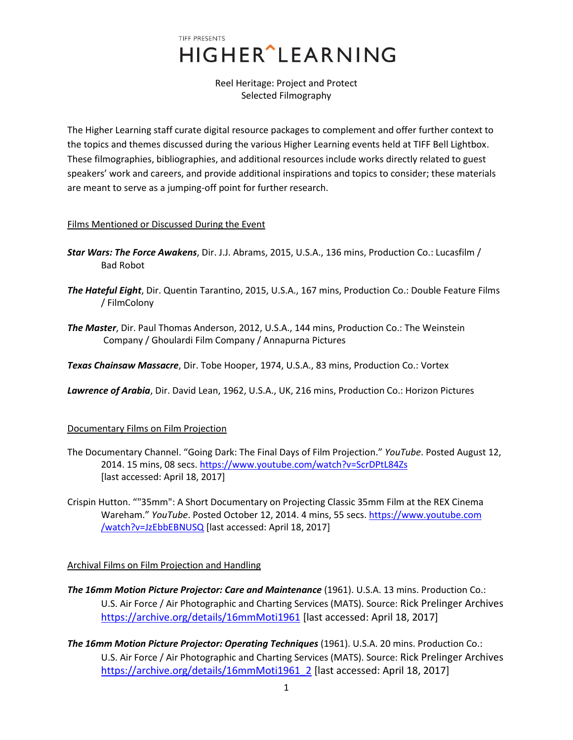## TIFF PRESENTS **HIGHER** LEARNING

Reel Heritage: Project and Protect Selected Filmography

The Higher Learning staff curate digital resource packages to complement and offer further context to the topics and themes discussed during the various Higher Learning events held at TIFF Bell Lightbox. These filmographies, bibliographies, and additional resources include works directly related to guest speakers' work and careers, and provide additional inspirations and topics to consider; these materials are meant to serve as a jumping-off point for further research.

## Films Mentioned or Discussed During the Event

- *Star Wars: The Force Awakens*, Dir. J.J. Abrams, 2015, U.S.A., 136 mins, Production Co.: Lucasfilm / Bad Robot
- *The Hateful Eight*, Dir. Quentin Tarantino, 2015, U.S.A., 167 mins, Production Co.: Double Feature Films / FilmColony
- *The Master*, Dir. Paul Thomas Anderson, 2012, U.S.A., 144 mins, Production Co.: The Weinstein Company / Ghoulardi Film Company / Annapurna Pictures

*Texas Chainsaw Massacre*, Dir. Tobe Hooper, 1974, U.S.A., 83 mins, Production Co.: Vortex

*Lawrence of Arabia*, Dir. David Lean, 1962, U.S.A., UK, 216 mins, Production Co.: Horizon Pictures

## Documentary Films on Film Projection

- The Documentary Channel. "Going Dark: The Final Days of Film Projection." *YouTube*. Posted August 12, 2014. 15 mins, 08 secs[. https://www.youtube.com/watch?v=ScrDPtL84Zs](https://www.youtube.com/watch?v=ScrDPtL84Zs) [last accessed: April 18, 2017]
- Crispin Hutton. ""35mm": A Short Documentary on Projecting Classic 35mm Film at the REX Cinema Wareham." *YouTube*. Posted October 12, 2014. 4 mins, 55 secs. https://www.youtube.com /watch?v=JzEbbEBNUSQ [last accessed: April 18, 2017]

## Archival Films on Film Projection and Handling

- *The 16mm Motion Picture Projector: Care and Maintenance* (1961). U.S.A. 13 mins. Production Co.: U.S. Air Force / Air Photographic and Charting Services (MATS). Source: Rick Prelinger Archives <https://archive.org/details/16mmMoti1961> [last accessed: April 18, 2017]
- *The 16mm Motion Picture Projector: Operating Techniques* (1961). U.S.A. 20 mins. Production Co.: U.S. Air Force / Air Photographic and Charting Services (MATS). Source: Rick Prelinger Archives [https://archive.org/details/16mmMoti1961\\_2](https://archive.org/details/16mmMoti1961_2) [last accessed: April 18, 2017]